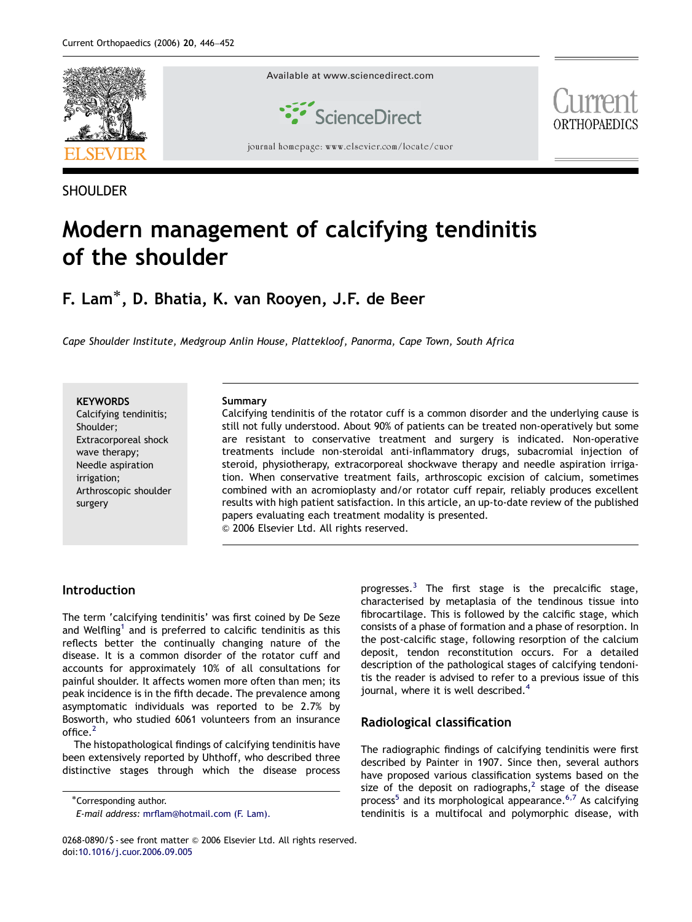

SHOULDER

# Modern management of calcifying tendinitis of the shoulder

F. Lam $^*$ , D. Bhatia, K. van Rooyen, J.F. de Beer

Cape Shoulder Institute, Medgroup Anlin House, Plattekloof, Panorma, Cape Town, South Africa

**KEYWORDS** Calcifying tendinitis; Shoulder; Extracorporeal shock wave therapy; Needle aspiration irrigation; Arthroscopic shoulder surgery

#### Summary

Calcifying tendinitis of the rotator cuff is a common disorder and the underlying cause is still not fully understood. About 90% of patients can be treated non-operatively but some are resistant to conservative treatment and surgery is indicated. Non-operative treatments include non-steroidal anti-inflammatory drugs, subacromial injection of steroid, physiotherapy, extracorporeal shockwave therapy and needle aspiration irrigation. When conservative treatment fails, arthroscopic excision of calcium, sometimes combined with an acromioplasty and/or rotator cuff repair, reliably produces excellent results with high patient satisfaction. In this article, an up-to-date review of the published papers evaluating each treatment modality is presented.  $©$  2006 Elsevier Ltd. All rights reserved.

### Introduction

The term 'calcifying tendinitis' was first coined by De Seze and Welfling<sup>[1](#page-5-0)</sup> and is preferred to calcific tendinitis as this reflects better the continually changing nature of the disease. It is a common disorder of the rotator cuff and accounts for approximately 10% of all consultations for painful shoulder. It affects women more often than men; its peak incidence is in the fifth decade. The prevalence among asymptomatic individuals was reported to be 2.7% by Bosworth, who studied 6061 volunteers from an insurance office.<sup>[2](#page-5-0)</sup>

The histopathological findings of calcifying tendinitis have been extensively reported by Uhthoff, who described three distinctive stages through which the disease process

progresses. $3$  The first stage is the precalcific stage, characterised by metaplasia of the tendinous tissue into fibrocartilage. This is followed by the calcific stage, which consists of a phase of formation and a phase of resorption. In the post-calcific stage, following resorption of the calcium deposit, tendon reconstitution occurs. For a detailed description of the pathological stages of calcifying tendonitis the reader is advised to refer to a previous issue of this journal, where it is well described.<sup>[4](#page-5-0)</sup>

## Radiological classification

The radiographic findings of calcifying tendinitis were first described by Painter in 1907. Since then, several authors have proposed various classification systems based on the size of the deposit on radiographs,<sup>[2](#page-5-0)</sup> stage of the disease process<sup>[5](#page-5-0)</sup> and its morphological appearance.<sup>[6,7](#page-5-0)</sup> As calcifying tendinitis is a multifocal and polymorphic disease, with

<sup>-</sup>Corresponding author.

E-mail address: [mrflam@hotmail.com \(F. Lam\).](mailto:mrflam@hotmail.com)

<sup>0268-0890/\$ -</sup> see front matter © 2006 Elsevier Ltd. All rights reserved. doi:[10.1016/j.cuor.2006.09.005](dx.doi.org/10.1016/j.cuor.2006.09.005)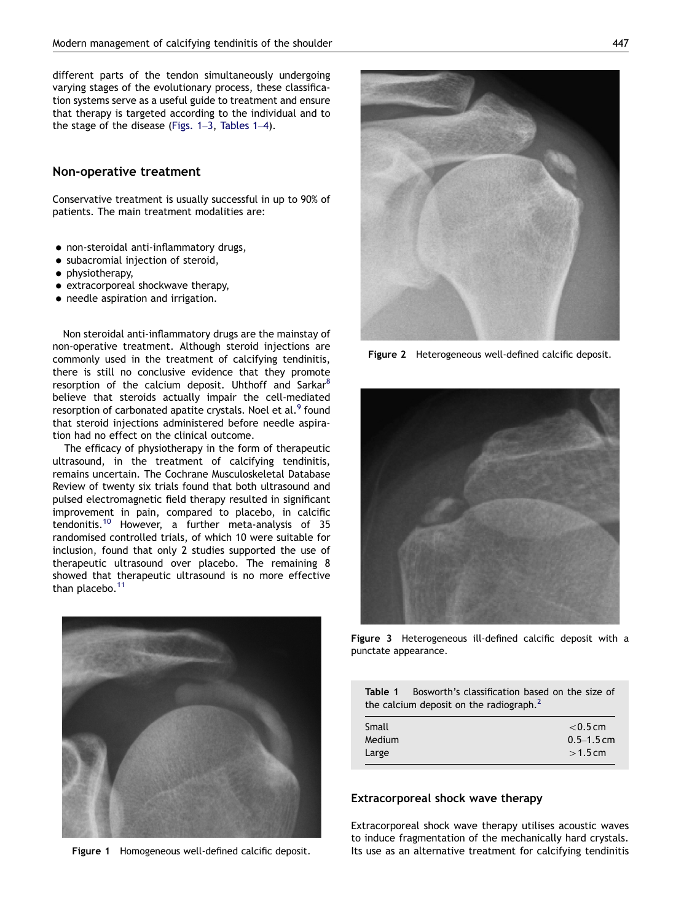<span id="page-1-0"></span>different parts of the tendon simultaneously undergoing varying stages of the evolutionary process, these classification systems serve as a useful guide to treatment and ensure that therapy is targeted according to the individual and to the stage of the disease (Figs. 1–3, Tables 1–4).

#### Non-operative treatment

Conservative treatment is usually successful in up to 90% of patients. The main treatment modalities are:

- non-steroidal anti-inflammatory drugs,
- · subacromial injection of steroid,
- physiotherapy,
- extracorporeal shockwave therapy,
- needle aspiration and irrigation.

Non steroidal anti-inflammatory drugs are the mainstay of non-operative treatment. Although steroid injections are commonly used in the treatment of calcifying tendinitis, there is still no conclusive evidence that they promote resorption of the calcium deposit. Uhthoff and Sarkar<sup>[8](#page-5-0)</sup> believe that steroids actually impair the cell-mediated resorption of carbonated apatite crystals. Noel et al.<sup>[9](#page-5-0)</sup> found that steroid injections administered before needle aspiration had no effect on the clinical outcome.

The efficacy of physiotherapy in the form of therapeutic ultrasound, in the treatment of calcifying tendinitis, remains uncertain. The Cochrane Musculoskeletal Database Review of twenty six trials found that both ultrasound and pulsed electromagnetic field therapy resulted in significant improvement in pain, compared to placebo, in calcific tendonitis.[10](#page-5-0) However, a further meta-analysis of 35 randomised controlled trials, of which 10 were suitable for inclusion, found that only 2 studies supported the use of therapeutic ultrasound over placebo. The remaining 8 showed that therapeutic ultrasound is no more effective than placebo.<sup>[11](#page-5-0)</sup>



Figure 1 Homogeneous well-defined calcific deposit.

Figure 2 Heterogeneous well-defined calcific deposit.



Figure 3 Heterogeneous ill-defined calcific deposit with a punctate appearance.

|                                            | <b>Table 1</b> Bosworth's classification based on the size of |  |  |
|--------------------------------------------|---------------------------------------------------------------|--|--|
| the calcium deposit on the radiograph. $2$ |                                                               |  |  |

| Small  | $<$ 0.5 cm     |
|--------|----------------|
| Medium | $0.5 - 1.5$ cm |
| Large  | $>1.5$ cm      |

#### Extracorporeal shock wave therapy

Extracorporeal shock wave therapy utilises acoustic waves to induce fragmentation of the mechanically hard crystals. Its use as an alternative treatment for calcifying tendinitis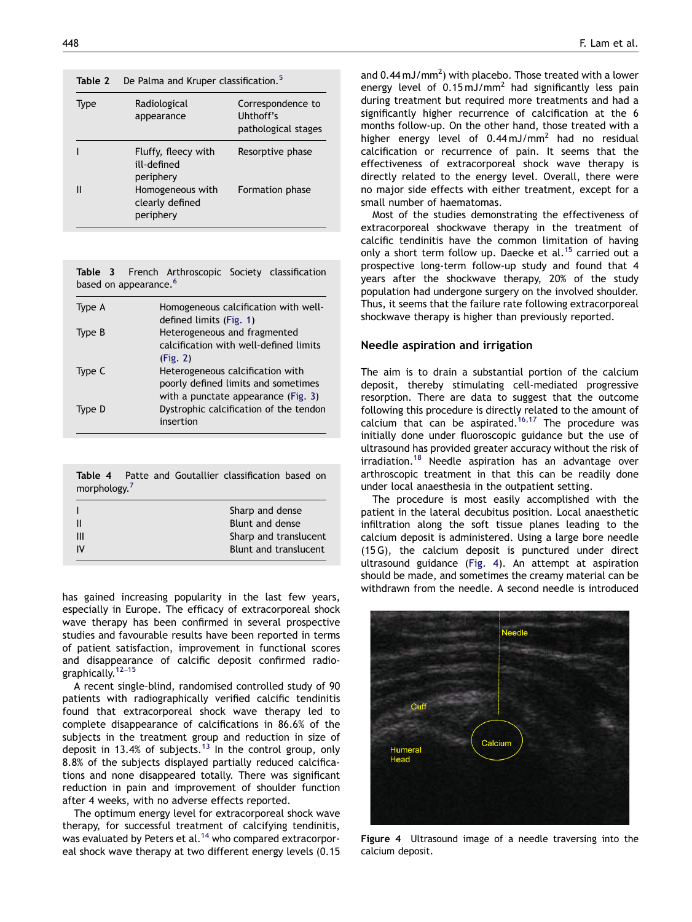#### Table 2 De Palma and Kruper classification.<sup>[5](#page-5-0)</sup>

| Type | Radiological<br>appearance                       | Correspondence to<br>Uhthoff's<br>pathological stages |
|------|--------------------------------------------------|-------------------------------------------------------|
|      | Fluffy, fleecy with<br>ill-defined<br>periphery  | Resorptive phase                                      |
|      | Homogeneous with<br>clearly defined<br>periphery | Formation phase                                       |

|  |                                   | Table 3 French Arthroscopic Society classification |  |
|--|-----------------------------------|----------------------------------------------------|--|
|  | based on appearance. <sup>6</sup> |                                                    |  |

| Type A | Homogeneous calcification with well-   |
|--------|----------------------------------------|
|        | defined limits (Fig. 1)                |
| Type B | Heterogeneous and fragmented           |
|        | calcification with well-defined limits |
|        | (Fig. 2)                               |
| Type C | Heterogeneous calcification with       |
|        | poorly defined limits and sometimes    |
|        | with a punctate appearance (Fig. 3)    |
| Type D | Dystrophic calcification of the tendon |
|        | insertion                              |
|        |                                        |

| Table 4 Patte and Goutallier classification based on<br>morphology. <sup>7</sup> |                       |
|----------------------------------------------------------------------------------|-----------------------|
|                                                                                  | Sharp and dense       |
| Ш                                                                                | Blunt and dense       |
| Ш                                                                                | Sharp and translucent |
| IV                                                                               | Blunt and translucent |

has gained increasing popularity in the last few years, especially in Europe. The efficacy of extracorporeal shock wave therapy has been confirmed in several prospective studies and favourable results have been reported in terms of patient satisfaction, improvement in functional scores and disappearance of calcific deposit confirmed radiographically.[12](#page-5-0)–<sup>15</sup>

A recent single-blind, randomised controlled study of 90 patients with radiographically verified calcific tendinitis found that extracorporeal shock wave therapy led to complete disappearance of calcifications in 86.6% of the subjects in the treatment group and reduction in size of deposit in [13](#page-5-0).4% of subjects.<sup>13</sup> In the control group, only 8.8% of the subjects displayed partially reduced calcifications and none disappeared totally. There was significant reduction in pain and improvement of shoulder function after 4 weeks, with no adverse effects reported.

The optimum energy level for extracorporeal shock wave therapy, for successful treatment of calcifying tendinitis, was evaluated by Peters et al.<sup>[14](#page-5-0)</sup> who compared extracorporeal shock wave therapy at two different energy levels (0.15

and 0.44 mJ/mm<sup>2</sup>) with placebo. Those treated with a lower energy level of  $0.15 \text{ mJ/mm}^2$  had significantly less pain during treatment but required more treatments and had a significantly higher recurrence of calcification at the 6 months follow-up. On the other hand, those treated with a higher energy level of  $0.44 \text{ mJ/mm}^2$  had no residual calcification or recurrence of pain. It seems that the effectiveness of extracorporeal shock wave therapy is directly related to the energy level. Overall, there were no major side effects with either treatment, except for a small number of haematomas.

Most of the studies demonstrating the effectiveness of extracorporeal shockwave therapy in the treatment of calcific tendinitis have the common limitation of having only a short term follow up. Daecke et al.<sup>[15](#page-5-0)</sup> carried out a prospective long-term follow-up study and found that 4 years after the shockwave therapy, 20% of the study population had undergone surgery on the involved shoulder. Thus, it seems that the failure rate following extracorporeal shockwave therapy is higher than previously reported.

#### Needle aspiration and irrigation

The aim is to drain a substantial portion of the calcium deposit, thereby stimulating cell-mediated progressive resorption. There are data to suggest that the outcome following this procedure is directly related to the amount of calcium that can be aspirated.<sup>[16,17](#page-5-0)</sup> The procedure was initially done under fluoroscopic guidance but the use of ultrasound has provided greater accuracy without the risk of irradiation.[18](#page-5-0) Needle aspiration has an advantage over arthroscopic treatment in that this can be readily done under local anaesthesia in the outpatient setting.

The procedure is most easily accomplished with the patient in the lateral decubitus position. Local anaesthetic infiltration along the soft tissue planes leading to the calcium deposit is administered. Using a large bore needle (15 G), the calcium deposit is punctured under direct ultrasound guidance (Fig. 4). An attempt at aspiration should be made, and sometimes the creamy material can be withdrawn from the needle. A second needle is introduced



Figure 4 Ultrasound image of a needle traversing into the calcium deposit.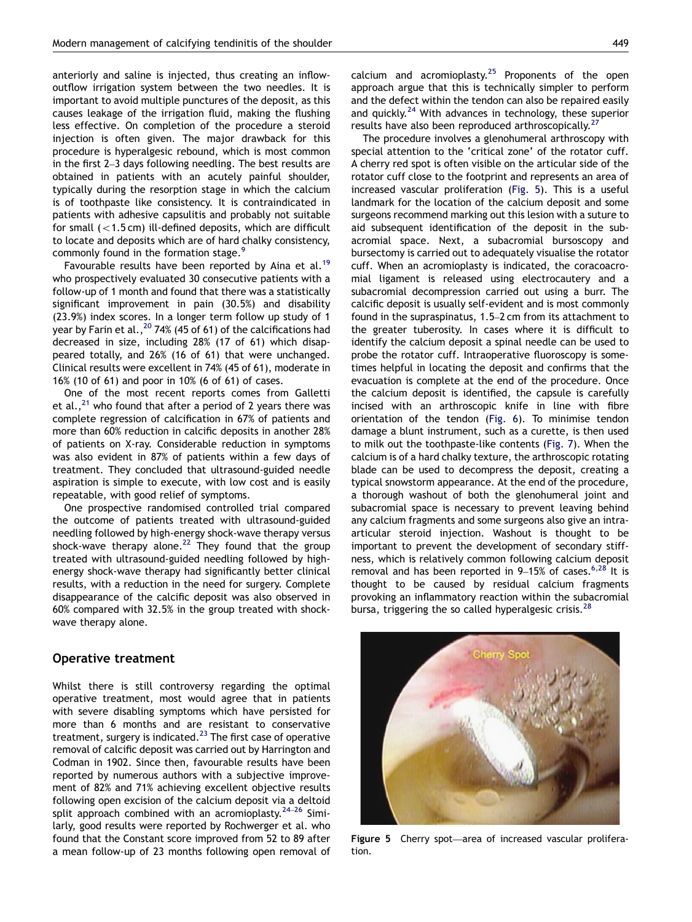anteriorly and saline is injected, thus creating an inflowoutflow irrigation system between the two needles. It is important to avoid multiple punctures of the deposit, as this causes leakage of the irrigation fluid, making the flushing less effective. On completion of the procedure a steroid injection is often given. The major drawback for this procedure is hyperalgesic rebound, which is most common in the first 2–3 days following needling. The best results are obtained in patients with an acutely painful shoulder, typically during the resorption stage in which the calcium is of toothpaste like consistency. It is contraindicated in patients with adhesive capsulitis and probably not suitable for small  $(<$ 1.5 cm) ill-defined deposits, which are difficult to locate and deposits which are of hard chalky consistency, commonly found in the formation stage.<sup>[9](#page-5-0)</sup>

Favourable results have been reported by Aina et al.<sup>[19](#page-5-0)</sup> who prospectively evaluated 30 consecutive patients with a follow-up of 1 month and found that there was a statistically significant improvement in pain (30.5%) and disability (23.9%) index scores. In a longer term follow up study of 1 year by Farin et al.,  $^{20}$  $^{20}$  $^{20}$  74% (45 of 61) of the calcifications had decreased in size, including 28% (17 of 61) which disappeared totally, and 26% (16 of 61) that were unchanged. Clinical results were excellent in 74% (45 of 61), moderate in 16% (10 of 61) and poor in 10% (6 of 61) of cases.

One of the most recent reports comes from Galletti et al., $^{21}$  who found that after a period of 2 years there was complete regression of calcification in 67% of patients and more than 60% reduction in calcific deposits in another 28% of patients on X-ray. Considerable reduction in symptoms was also evident in 87% of patients within a few days of treatment. They concluded that ultrasound-guided needle aspiration is simple to execute, with low cost and is easily repeatable, with good relief of symptoms.

One prospective randomised controlled trial compared the outcome of patients treated with ultrasound-guided needling followed by high-energy shock-wave therapy versus shock-wave therapy alone.<sup>[22](#page-5-0)</sup> They found that the group treated with ultrasound-guided needling followed by highenergy shock-wave therapy had significantly better clinical results, with a reduction in the need for surgery. Complete disappearance of the calcific deposit was also observed in 60% compared with 32.5% in the group treated with shockwave therapy alone.

#### Operative treatment

Whilst there is still controversy regarding the optimal operative treatment, most would agree that in patients with severe disabling symptoms which have persisted for more than 6 months and are resistant to conservative treatment, surgery is indicated.<sup>[23](#page-5-0)</sup> The first case of operative removal of calcific deposit was carried out by Harrington and Codman in 1902. Since then, favourable results have been reported by numerous authors with a subjective improvement of 82% and 71% achieving excellent objective results following open excision of the calcium deposit via a deltoid split approach combined with an acromioplasty. $24-26$  $24-26$  Similarly, good results were reported by Rochwerger et al. who found that the Constant score improved from 52 to 89 after a mean follow-up of 23 months following open removal of calcium and acromioplasty. $25$  Proponents of the open approach argue that this is technically simpler to perform and the defect within the tendon can also be repaired easily and quickly.<sup>[24](#page-5-0)</sup> With advances in technology, these superior results have also been reproduced arthroscopically.<sup>[27](#page-5-0)</sup>

The procedure involves a glenohumeral arthroscopy with special attention to the 'critical zone' of the rotator cuff. A cherry red spot is often visible on the articular side of the rotator cuff close to the footprint and represents an area of increased vascular proliferation (Fig. 5). This is a useful landmark for the location of the calcium deposit and some surgeons recommend marking out this lesion with a suture to aid subsequent identification of the deposit in the subacromial space. Next, a subacromial bursoscopy and bursectomy is carried out to adequately visualise the rotator cuff. When an acromioplasty is indicated, the coracoacromial ligament is released using electrocautery and a subacromial decompression carried out using a burr. The calcific deposit is usually self-evident and is most commonly found in the supraspinatus, 1.5–2 cm from its attachment to the greater tuberosity. In cases where it is difficult to identify the calcium deposit a spinal needle can be used to probe the rotator cuff. Intraoperative fluoroscopy is sometimes helpful in locating the deposit and confirms that the evacuation is complete at the end of the procedure. Once the calcium deposit is identified, the capsule is carefully incised with an arthroscopic knife in line with fibre orientation of the tendon [\(Fig. 6](#page-4-0)). To minimise tendon damage a blunt instrument, such as a curette, is then used to milk out the toothpaste-like contents ([Fig. 7](#page-4-0)). When the calcium is of a hard chalky texture, the arthroscopic rotating blade can be used to decompress the deposit, creating a typical snowstorm appearance. At the end of the procedure, a thorough washout of both the glenohumeral joint and subacromial space is necessary to prevent leaving behind any calcium fragments and some surgeons also give an intraarticular steroid injection. Washout is thought to be important to prevent the development of secondary stiffness, which is relatively common following calcium deposit removal and has been reported in  $9-15\%$  of cases.<sup>[6,28](#page-5-0)</sup> It is thought to be caused by residual calcium fragments provoking an inflammatory reaction within the subacromial bursa, triggering the so called hyperalgesic crisis.<sup>[28](#page-5-0)</sup>



Figure 5 Cherry spot—area of increased vascular proliferation.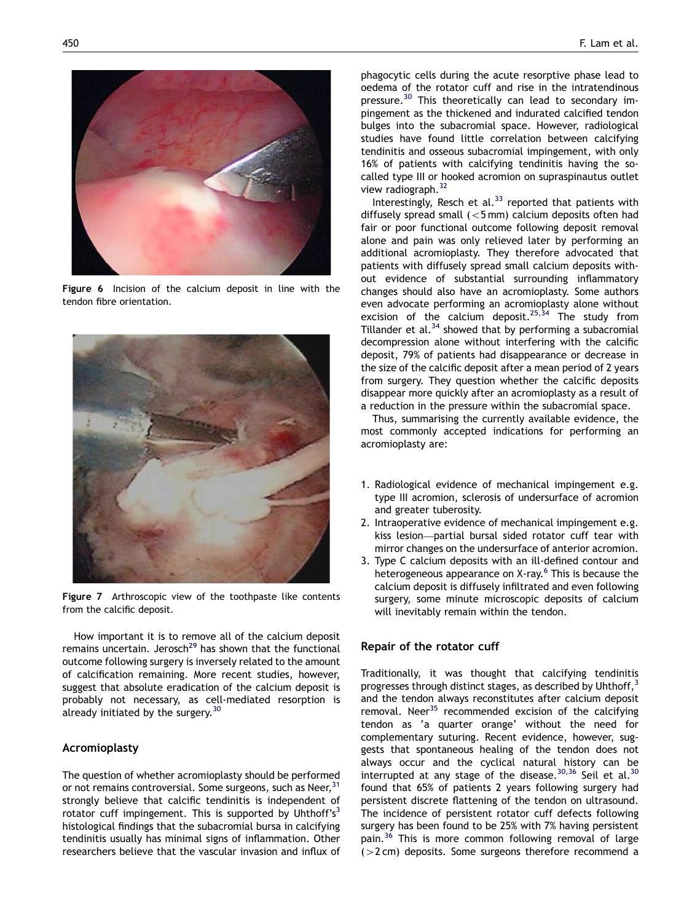<span id="page-4-0"></span>

Figure 6 Incision of the calcium deposit in line with the tendon fibre orientation.



Figure 7 Arthroscopic view of the toothpaste like contents from the calcific deposit.

How important it is to remove all of the calcium deposit remains uncertain. Jerosch<sup>[29](#page-5-0)</sup> has shown that the functional outcome following surgery is inversely related to the amount of calcification remaining. More recent studies, however, suggest that absolute eradication of the calcium deposit is probably not necessary, as cell-mediated resorption is already initiated by the surgery.<sup>[30](#page-5-0)</sup>

#### Acromioplasty

The question of whether acromioplasty should be performed or not remains controversial. Some surgeons, such as Neer, <sup>[31](#page-5-0)</sup> strongly believe that calcific tendinitis is independent of rotator cuff impingement. This is supported by Uhthoff's<sup>3</sup> histological findings that the subacromial bursa in calcifying tendinitis usually has minimal signs of inflammation. Other researchers believe that the vascular invasion and influx of

phagocytic cells during the acute resorptive phase lead to oedema of the rotator cuff and rise in the intratendinous pressure.<sup>[30](#page-5-0)</sup> This theoretically can lead to secondary impingement as the thickened and indurated calcified tendon bulges into the subacromial space. However, radiological studies have found little correlation between calcifying tendinitis and osseous subacromial impingement, with only 16% of patients with calcifying tendinitis having the socalled type III or hooked acromion on supraspinautus outlet view radiograph.<sup>[32](#page-5-0)</sup>

Interestingly, Resch et al. $33$  reported that patients with diffusely spread small  $(<5$  mm) calcium deposits often had fair or poor functional outcome following deposit removal alone and pain was only relieved later by performing an additional acromioplasty. They therefore advocated that patients with diffusely spread small calcium deposits without evidence of substantial surrounding inflammatory changes should also have an acromioplasty. Some authors even advocate performing an acromioplasty alone without excision of the calcium deposit.<sup>25,34</sup> The study from Tillander et al.<sup>[34](#page-5-0)</sup> showed that by performing a subacromial decompression alone without interfering with the calcific deposit, 79% of patients had disappearance or decrease in the size of the calcific deposit after a mean period of 2 years from surgery. They question whether the calcific deposits disappear more quickly after an acromioplasty as a result of a reduction in the pressure within the subacromial space.

Thus, summarising the currently available evidence, the most commonly accepted indications for performing an acromioplasty are:

- 1. Radiological evidence of mechanical impingement e.g. type III acromion, sclerosis of undersurface of acromion and greater tuberosity.
- 2. Intraoperative evidence of mechanical impingement e.g. kiss lesion—partial bursal sided rotator cuff tear with mirror changes on the undersurface of anterior acromion.
- 3. Type C calcium deposits with an ill-defined contour and heterogeneous appearance on X-ray.<sup>[6](#page-5-0)</sup> This is because the calcium deposit is diffusely infiltrated and even following surgery, some minute microscopic deposits of calcium will inevitably remain within the tendon.

## Repair of the rotator cuff

Traditionally, it was thought that calcifying tendinitis progresses through distinct stages, as described by Uhthoff, $3$ and the tendon always reconstitutes after calcium deposit removal. Neer<sup>[35](#page-6-0)</sup> recommended excision of the calcifying tendon as 'a quarter orange' without the need for complementary suturing. Recent evidence, however, suggests that spontaneous healing of the tendon does not always occur and the cyclical natural history can be interrupted at any stage of the disease.  $30,36$  Seil et al.  $30$ found that 65% of patients 2 years following surgery had persistent discrete flattening of the tendon on ultrasound. The incidence of persistent rotator cuff defects following surgery has been found to be 25% with 7% having persistent pain.<sup>[36](#page-6-0)</sup> This is more common following removal of large  $(>2 \text{ cm})$  deposits. Some surgeons therefore recommend a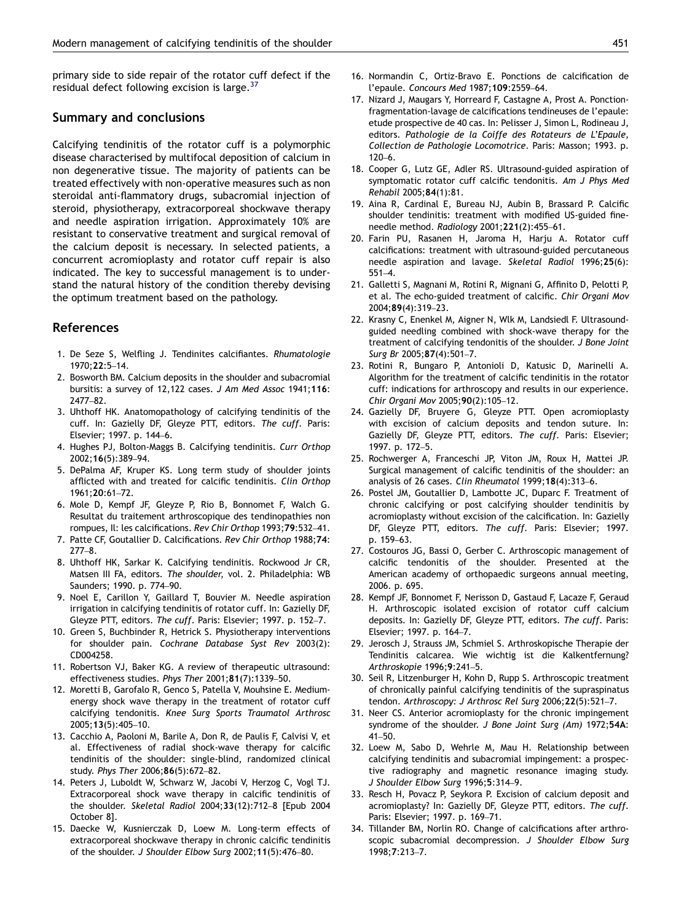<span id="page-5-0"></span>primary side to side repair of the rotator cuff defect if the residual defect following excision is large. $37$ 

### Summary and conclusions

Calcifying tendinitis of the rotator cuff is a polymorphic disease characterised by multifocal deposition of calcium in non degenerative tissue. The majority of patients can be treated effectively with non-operative measures such as non steroidal anti-flammatory drugs, subacromial injection of steroid, physiotherapy, extracorporeal shockwave therapy and needle aspiration irrigation. Approximately 10% are resistant to conservative treatment and surgical removal of the calcium deposit is necessary. In selected patients, a concurrent acromioplasty and rotator cuff repair is also indicated. The key to successful management is to understand the natural history of the condition thereby devising the optimum treatment based on the pathology.

#### References

- 1. De Seze S, Welfling J. Tendinites calcifiantes. Rhumatologie 1970;22:5–14.
- 2. Bosworth BM. Calcium deposits in the shoulder and subacromial bursitis: a survey of 12,122 cases. J Am Med Assoc 1941;116: 2477–82.
- 3. Uhthoff HK. Anatomopathology of calcifying tendinitis of the cuff. In: Gazielly DF, Gleyze PTT, editors. The cuff. Paris: Elsevier; 1997. p. 144–6.
- 4. Hughes PJ, Bolton-Maggs B. Calcifying tendinitis. Curr Orthop 2002;16(5):389–94.
- 5. DePalma AF, Kruper KS. Long term study of shoulder joints afflicted with and treated for calcific tendinitis. Clin Orthop 1961;20:61–72.
- 6. Mole D, Kempf JF, Gleyze P, Rio B, Bonnomet F, Walch G. Resultat du traitement arthroscopique des tendinopathies non rompues, Il: les calcifications. Rev Chir Orthop 1993;79:532–41.
- 7. Patte CF, Goutallier D. Calcifications. Rev Chir Orthop 1988;74: 277–8.
- 8. Uhthoff HK, Sarkar K. Calcifying tendinitis. Rockwood Jr CR, Matsen III FA, editors. The shoulder, vol. 2. Philadelphia: WB Saunders; 1990. p. 774–90.
- 9. Noel E, Carillon Y, Gaillard T, Bouvier M. Needle aspiration irrigation in calcifying tendinitis of rotator cuff. In: Gazielly DF, Gleyze PTT, editors. The cuff. Paris: Elsevier; 1997. p. 152-7.
- 10. Green S, Buchbinder R, Hetrick S. Physiotherapy interventions for shoulder pain. Cochrane Database Syst Rev 2003(2): CD004258.
- 11. Robertson VJ, Baker KG. A review of therapeutic ultrasound: effectiveness studies. Phys Ther 2001;81(7):1339–50.
- 12. Moretti B, Garofalo R, Genco S, Patella V, Mouhsine E. Mediumenergy shock wave therapy in the treatment of rotator cuff calcifying tendonitis. Knee Surg Sports Traumatol Arthrosc 2005;13(5):405–10.
- 13. Cacchio A, Paoloni M, Barile A, Don R, de Paulis F, Calvisi V, et al. Effectiveness of radial shock-wave therapy for calcific tendinitis of the shoulder: single-blind, randomized clinical study. Phys Ther 2006;86(5):672–82.
- 14. Peters J, Luboldt W, Schwarz W, Jacobi V, Herzog C, Vogl TJ. Extracorporeal shock wave therapy in calcific tendinitis of the shoulder. Skeletal Radiol 2004;33(12):712–8 [Epub 2004 October 8].
- 15. Daecke W, Kusnierczak D, Loew M. Long-term effects of extracorporeal shockwave therapy in chronic calcific tendinitis of the shoulder. J Shoulder Elbow Surg 2002;11(5):476–80.
- 16. Normandin C, Ortiz-Bravo E. Ponctions de calcification de l'epaule. Concours Med 1987;109:2559–64.
- 17. Nizard J, Maugars Y, Horreard F, Castagne A, Prost A. Ponctionfragmentation-lavage de calcifications tendineuses de l'epaule: etude prospective de 40 cas. In: Pelisser J, Simon L, Rodineau J, editors. Pathologie de la Coiffe des Rotateurs de L'Epaule, Collection de Pathologie Locomotrice. Paris: Masson; 1993. p.  $120-6$ .
- 18. Cooper G, Lutz GE, Adler RS. Ultrasound-guided aspiration of symptomatic rotator cuff calcific tendonitis. Am J Phys Med Rehabil 2005;84(1):81.
- 19. Aina R, Cardinal E, Bureau NJ, Aubin B, Brassard P. Calcific shoulder tendinitis: treatment with modified US-guided fineneedle method. Radiology 2001;221(2):455–61.
- 20. Farin PU, Rasanen H, Jaroma H, Harju A. Rotator cuff calcifications: treatment with ultrasound-guided percutaneous needle aspiration and lavage. Skeletal Radiol 1996;25(6): 551–4.
- 21. Galletti S, Magnani M, Rotini R, Mignani G, Affinito D, Pelotti P, et al. The echo-guided treatment of calcific. Chir Organi Mov 2004;89(4):319–23.
- 22. Krasny C, Enenkel M, Aigner N, Wlk M, Landsiedl F. Ultrasoundguided needling combined with shock-wave therapy for the treatment of calcifying tendonitis of the shoulder. J Bone Joint Surg Br 2005;87(4):501–7.
- 23. Rotini R, Bungaro P, Antonioli D, Katusic D, Marinelli A. Algorithm for the treatment of calcific tendinitis in the rotator cuff: indications for arthroscopy and results in our experience. Chir Organi Mov 2005;90(2):105–12.
- 24. Gazielly DF, Bruyere G, Gleyze PTT. Open acromioplasty with excision of calcium deposits and tendon suture. In: Gazielly DF, Gleyze PTT, editors. The cuff. Paris: Elsevier; 1997. p. 172–5.
- 25. Rochwerger A, Franceschi JP, Viton JM, Roux H, Mattei JP. Surgical management of calcific tendinitis of the shoulder: an analysis of 26 cases. Clin Rheumatol 1999;18(4):313–6.
- 26. Postel JM, Goutallier D, Lambotte JC, Duparc F. Treatment of chronic calcifying or post calcifying shoulder tendinitis by acromioplasty without excision of the calcification. In: Gazielly DF, Gleyze PTT, editors. The cuff. Paris: Elsevier; 1997. p. 159–63.
- 27. Costouros JG, Bassi O, Gerber C. Arthroscopic management of calcific tendonitis of the shoulder. Presented at the American academy of orthopaedic surgeons annual meeting, 2006. p. 695.
- 28. Kempf JF, Bonnomet F, Nerisson D, Gastaud F, Lacaze F, Geraud H. Arthroscopic isolated excision of rotator cuff calcium deposits. In: Gazielly DF, Gleyze PTT, editors. The cuff. Paris: Elsevier; 1997. p. 164–7.
- 29. Jerosch J, Strauss JM, Schmiel S. Arthroskopische Therapie der Tendinitis calcarea. Wie wichtig ist die Kalkentfernung? Arthroskopie 1996;9:241–5.
- 30. Seil R, Litzenburger H, Kohn D, Rupp S. Arthroscopic treatment of chronically painful calcifying tendinitis of the supraspinatus tendon. Arthroscopy: J Arthrosc Rel Surg 2006;22(5):521–7.
- 31. Neer CS. Anterior acromioplasty for the chronic impingement syndrome of the shoulder. J Bone Joint Surg (Am) 1972;54A:  $41 - 50$
- 32. Loew M, Sabo D, Wehrle M, Mau H. Relationship between calcifying tendinitis and subacromial impingement: a prospective radiography and magnetic resonance imaging study. J Shoulder Elbow Surg 1996;5:314–9.
- 33. Resch H, Povacz P, Seykora P. Excision of calcium deposit and acromioplasty? In: Gazielly DF, Gleyze PTT, editors. The cuff. Paris: Elsevier; 1997. p. 169–71.
- 34. Tillander BM, Norlin RO. Change of calcifications after arthroscopic subacromial decompression. J Shoulder Elbow Surg 1998;7:213–7.